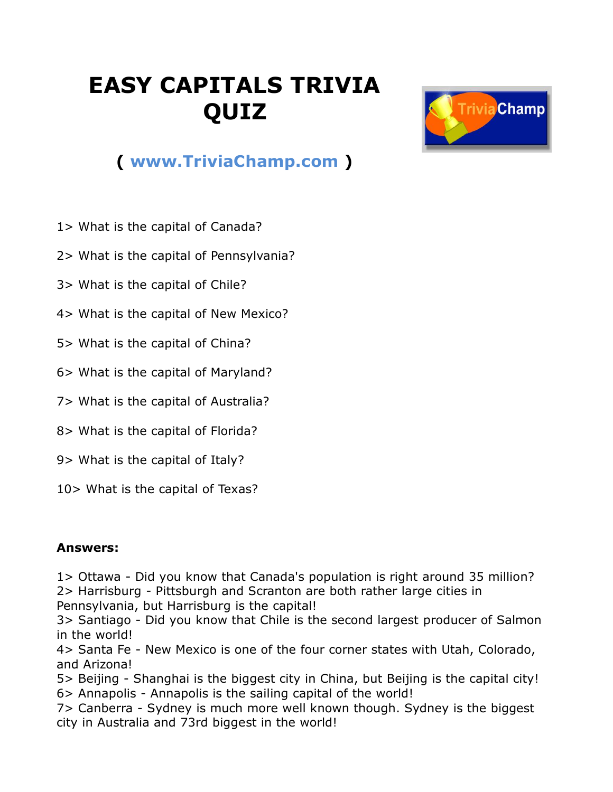## **EASY CAPITALS TRIVIA QUIZ**



## **( [www.TriviaChamp.com](http://www.triviachamp.com/) )**

- 1> What is the capital of Canada?
- 2> What is the capital of Pennsylvania?
- 3> What is the capital of Chile?
- 4> What is the capital of New Mexico?
- 5> What is the capital of China?
- 6> What is the capital of Maryland?
- 7> What is the capital of Australia?
- 8> What is the capital of Florida?
- 9> What is the capital of Italy?
- 10> What is the capital of Texas?

## **Answers:**

1> Ottawa - Did you know that Canada's population is right around 35 million? 2> Harrisburg - Pittsburgh and Scranton are both rather large cities in Pennsylvania, but Harrisburg is the capital!

3> Santiago - Did you know that Chile is the second largest producer of Salmon in the world!

4> Santa Fe - New Mexico is one of the four corner states with Utah, Colorado, and Arizona!

5> Beijing - Shanghai is the biggest city in China, but Beijing is the capital city! 6> Annapolis - Annapolis is the sailing capital of the world!

7> Canberra - Sydney is much more well known though. Sydney is the biggest city in Australia and 73rd biggest in the world!